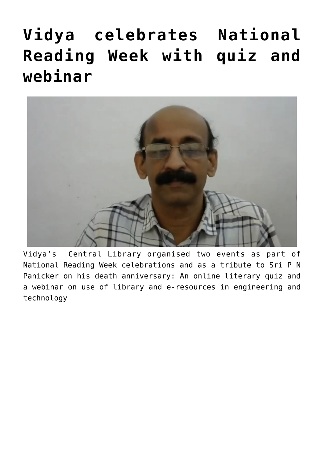# **[Vidya celebrates National](https://news.vidyaacademy.ac.in/2021/06/24/vidya-celebrates-national-reading-week-with-quiz-and-webinar/) [Reading Week with quiz and](https://news.vidyaacademy.ac.in/2021/06/24/vidya-celebrates-national-reading-week-with-quiz-and-webinar/) [webinar](https://news.vidyaacademy.ac.in/2021/06/24/vidya-celebrates-national-reading-week-with-quiz-and-webinar/)**



Vidya's Central Library organised two events as part of National Reading Week celebrations and as a tribute to Sri P N Panicker on his death anniversary: An online literary quiz and a webinar on use of library and e-resources in engineering and technology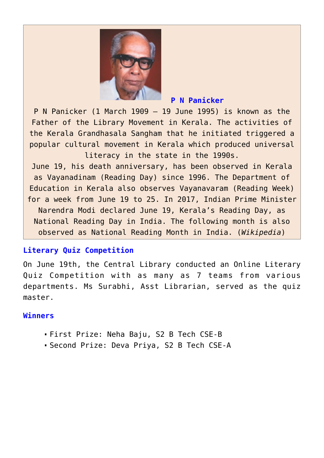

### **P N Panicker**

P N Panicker (1 March 1909 – 19 June 1995) is known as the Father of the Library Movement in Kerala. The activities of the Kerala Grandhasala Sangham that he initiated triggered a popular cultural movement in Kerala which produced universal literacy in the state in the 1990s.

June 19, his death anniversary, has been observed in Kerala as Vayanadinam (Reading Day) since 1996. The Department of Education in Kerala also observes Vayanavaram (Reading Week) for a week from June 19 to 25. In 2017, Indian Prime Minister Narendra Modi declared June 19, Kerala's Reading Day, as National Reading Day in India. The following month is also observed as National Reading Month in India. (*[Wikipedia](https://en.wikipedia.org/wiki/P._N._Panicker)*)

## **Literary Quiz Competition**

On June 19th, the Central Library conducted an Online Literary Quiz Competition with as many as 7 teams from various departments. Ms Surabhi, Asst Librarian, served as the quiz master.

### **Winners**

- First Prize: Neha Baju, S2 B Tech CSE-B
- Second Prize: Deva Priya, S2 B Tech CSE-A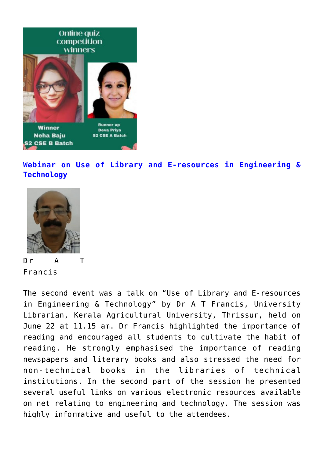

**Webinar on Use of Library and E-resources in Engineering & Technology**



Dr A T Francis

The second event was a talk on "Use of Library and E-resources in Engineering & Technology" by Dr A T Francis, University Librarian, Kerala Agricultural University, Thrissur, held on June 22 at 11.15 am. Dr Francis highlighted the importance of reading and encouraged all students to cultivate the habit of reading. He strongly emphasised the importance of reading newspapers and literary books and also stressed the need for non-technical books in the libraries of technical institutions. In the second part of the session he presented several useful links on various electronic resources available on net relating to engineering and technology. The session was highly informative and useful to the attendees.